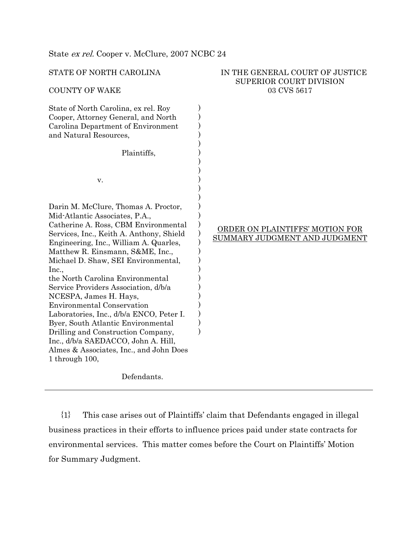| STATE OF NORTH CAROLINA<br><b>COUNTY OF WAKE</b>                                                                                                                                                                                                                                                                                                                                                                                                                                                                                                                                                                                                                | IN THE GENERAL COURT OF JUSTICE<br><b>SUPERIOR COURT DIVISION</b><br>03 CVS 5617 |
|-----------------------------------------------------------------------------------------------------------------------------------------------------------------------------------------------------------------------------------------------------------------------------------------------------------------------------------------------------------------------------------------------------------------------------------------------------------------------------------------------------------------------------------------------------------------------------------------------------------------------------------------------------------------|----------------------------------------------------------------------------------|
| State of North Carolina, ex rel. Roy<br>Cooper, Attorney General, and North<br>Carolina Department of Environment<br>and Natural Resources,<br>Plaintiffs,                                                                                                                                                                                                                                                                                                                                                                                                                                                                                                      |                                                                                  |
| V.                                                                                                                                                                                                                                                                                                                                                                                                                                                                                                                                                                                                                                                              |                                                                                  |
| Darin M. McClure, Thomas A. Proctor,<br>Mid-Atlantic Associates, P.A.,<br>Catherine A. Ross, CBM Environmental<br>Services, Inc., Keith A. Anthony, Shield<br>Engineering, Inc., William A. Quarles,<br>Matthew R. Einsmann, S&ME, Inc.,<br>Michael D. Shaw, SEI Environmental,<br>Inc.,<br>the North Carolina Environmental<br>Service Providers Association, d/b/a<br>NCESPA, James H. Hays,<br><b>Environmental Conservation</b><br>Laboratories, Inc., d/b/a ENCO, Peter I.<br>Byer, South Atlantic Environmental<br>Drilling and Construction Company,<br>Inc., d/b/a SAEDACCO, John A. Hill,<br>Almes & Associates, Inc., and John Does<br>1 through 100, | ORDER ON PLAINTIFFS' MOTION FOR<br>SUMMARY JUDGMENT AND JUDGMENT                 |

Defendants.

State ex rel. Cooper v. McClure, 2007 NCBC 24

{1} This case arises out of Plaintiffs' claim that Defendants engaged in illegal business practices in their efforts to influence prices paid under state contracts for environmental services. This matter comes before the Court on Plaintiffs' Motion for Summary Judgment.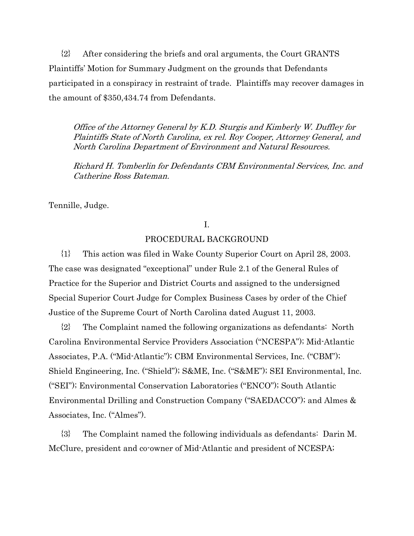{2} After considering the briefs and oral arguments, the Court GRANTS Plaintiffs' Motion for Summary Judgment on the grounds that Defendants participated in a conspiracy in restraint of trade. Plaintiffs may recover damages in the amount of \$350,434.74 from Defendants.

Office of the Attorney General by K.D. Sturgis and Kimberly W. Duffley for Plaintiffs State of North Carolina, ex rel. Roy Cooper, Attorney General, and North Carolina Department of Environment and Natural Resources.

Richard H. Tomberlin for Defendants CBM Environmental Services, Inc. and Catherine Ross Bateman.

Tennille, Judge.

# I.

# PROCEDURAL BACKGROUND

{1} This action was filed in Wake County Superior Court on April 28, 2003. The case was designated "exceptional" under Rule 2.1 of the General Rules of Practice for the Superior and District Courts and assigned to the undersigned Special Superior Court Judge for Complex Business Cases by order of the Chief Justice of the Supreme Court of North Carolina dated August 11, 2003.

{2} The Complaint named the following organizations as defendants: North Carolina Environmental Service Providers Association ("NCESPA"); Mid-Atlantic Associates, P.A. ("Mid-Atlantic"); CBM Environmental Services, Inc. ("CBM"); Shield Engineering, Inc. ("Shield"); S&ME, Inc. ("S&ME"); SEI Environmental, Inc. ("SEI"); Environmental Conservation Laboratories ("ENCO"); South Atlantic Environmental Drilling and Construction Company ("SAEDACCO"); and Almes & Associates, Inc. ("Almes").

{3} The Complaint named the following individuals as defendants: Darin M. McClure, president and co-owner of Mid-Atlantic and president of NCESPA;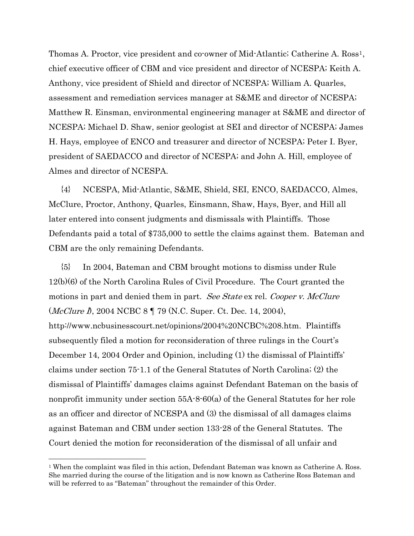Thomas A. Proctor, vice president and co-owner of Mid-Atlantic; Catherine A. Ross<sup>1</sup>, chief executive officer of CBM and vice president and director of NCESPA; Keith A. Anthony, vice president of Shield and director of NCESPA; William A. Quarles, assessment and remediation services manager at S&ME and director of NCESPA; Matthew R. Einsman, environmental engineering manager at S&ME and director of NCESPA; Michael D. Shaw, senior geologist at SEI and director of NCESPA; James H. Hays, employee of ENCO and treasurer and director of NCESPA; Peter I. Byer, president of SAEDACCO and director of NCESPA; and John A. Hill, employee of Almes and director of NCESPA.

{4} NCESPA, Mid-Atlantic, S&ME, Shield, SEI, ENCO, SAEDACCO, Almes, McClure, Proctor, Anthony, Quarles, Einsmann, Shaw, Hays, Byer, and Hill all later entered into consent judgments and dismissals with Plaintiffs. Those Defendants paid a total of \$735,000 to settle the claims against them. Bateman and CBM are the only remaining Defendants.

{5} In 2004, Bateman and CBM brought motions to dismiss under Rule 12(b)(6) of the North Carolina Rules of Civil Procedure. The Court granted the motions in part and denied them in part. See State ex rel. Cooper v. McClure (McClure I), 2004 NCBC 8 ¶ 79 (N.C. Super. Ct. Dec. 14, 2004), http://www.ncbusinesscourt.net/opinions/2004%20NCBC%208.htm. Plaintiffs subsequently filed a motion for reconsideration of three rulings in the Court's December 14, 2004 Order and Opinion, including (1) the dismissal of Plaintiffs' claims under section 75-1.1 of the General Statutes of North Carolina; (2) the dismissal of Plaintiffs' damages claims against Defendant Bateman on the basis of nonprofit immunity under section 55A-8-60(a) of the General Statutes for her role as an officer and director of NCESPA and (3) the dismissal of all damages claims against Bateman and CBM under section 133-28 of the General Statutes. The Court denied the motion for reconsideration of the dismissal of all unfair and

 $\overline{a}$ 

<span id="page-2-0"></span><sup>&</sup>lt;sup>1</sup> When the complaint was filed in this action, Defendant Bateman was known as Catherine A. Ross. She married during the course of the litigation and is now known as Catherine Ross Bateman and will be referred to as "Bateman" throughout the remainder of this Order.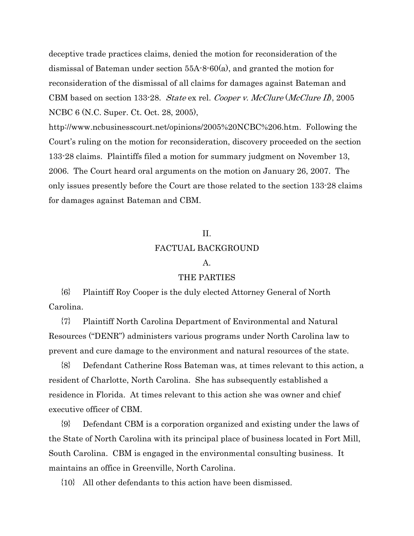deceptive trade practices claims, denied the motion for reconsideration of the dismissal of Bateman under section 55A-8-60(a), and granted the motion for reconsideration of the dismissal of all claims for damages against Bateman and CBM based on section 133-28. State ex rel. Cooper v. McClure (McClure II), 2005 NCBC 6 (N.C. Super. Ct. Oct. 28, 2005),

<http://www.ncbusinesscourt.net/opinions/2005%20NCBC%206.htm>. Following the Court's ruling on the motion for reconsideration, discovery proceeded on the section 133-28 claims. Plaintiffs filed a motion for summary judgment on November 13, 2006. The Court heard oral arguments on the motion on January 26, 2007. The only issues presently before the Court are those related to the section 133-28 claims for damages against Bateman and CBM.

# II. FACTUAL BACKGROUND

#### A.

#### THE PARTIES

{6} Plaintiff Roy Cooper is the duly elected Attorney General of North Carolina.

{7} Plaintiff North Carolina Department of Environmental and Natural Resources ("DENR") administers various programs under North Carolina law to prevent and cure damage to the environment and natural resources of the state.

{8} Defendant Catherine Ross Bateman was, at times relevant to this action, a resident of Charlotte, North Carolina. She has subsequently established a residence in Florida. At times relevant to this action she was owner and chief executive officer of CBM.

{9} Defendant CBM is a corporation organized and existing under the laws of the State of North Carolina with its principal place of business located in Fort Mill, South Carolina. CBM is engaged in the environmental consulting business. It maintains an office in Greenville, North Carolina.

{10} All other defendants to this action have been dismissed.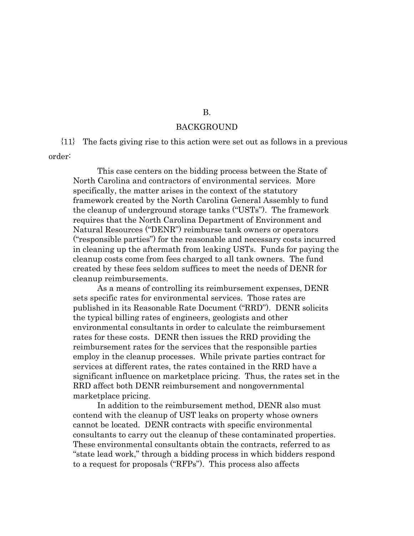#### BACKGROUND

{11} The facts giving rise to this action were set out as follows in a previous order:

This case centers on the bidding process between the State of North Carolina and contractors of environmental services. More specifically, the matter arises in the context of the statutory framework created by the North Carolina General Assembly to fund the cleanup of underground storage tanks ("USTs"). The framework requires that the North Carolina Department of Environment and Natural Resources ("DENR") reimburse tank owners or operators ("responsible parties") for the reasonable and necessary costs incurred in cleaning up the aftermath from leaking USTs. Funds for paying the cleanup costs come from fees charged to all tank owners. The fund created by these fees seldom suffices to meet the needs of DENR for cleanup reimbursements.

As a means of controlling its reimbursement expenses, DENR sets specific rates for environmental services. Those rates are published in its Reasonable Rate Document ("RRD"). DENR solicits the typical billing rates of engineers, geologists and other environmental consultants in order to calculate the reimbursement rates for these costs. DENR then issues the RRD providing the reimbursement rates for the services that the responsible parties employ in the cleanup processes. While private parties contract for services at different rates, the rates contained in the RRD have a significant influence on marketplace pricing. Thus, the rates set in the RRD affect both DENR reimbursement and nongovernmental marketplace pricing.

In addition to the reimbursement method, DENR also must contend with the cleanup of UST leaks on property whose owners cannot be located. DENR contracts with specific environmental consultants to carry out the cleanup of these contaminated properties. These environmental consultants obtain the contracts, referred to as "state lead work," through a bidding process in which bidders respond to a request for proposals ("RFPs"). This process also affects

#### B.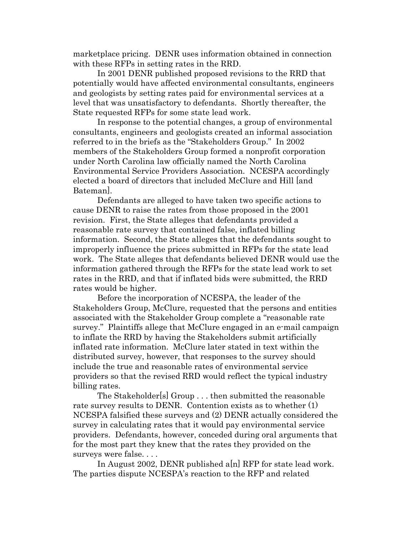marketplace pricing. DENR uses information obtained in connection with these RFPs in setting rates in the RRD.

In 2001 DENR published proposed revisions to the RRD that potentially would have affected environmental consultants, engineers and geologists by setting rates paid for environmental services at a level that was unsatisfactory to defendants. Shortly thereafter, the State requested RFPs for some state lead work.

In response to the potential changes, a group of environmental consultants, engineers and geologists created an informal association referred to in the briefs as the "Stakeholders Group." In 2002 members of the Stakeholders Group formed a nonprofit corporation under North Carolina law officially named the North Carolina Environmental Service Providers Association. NCESPA accordingly elected a board of directors that included McClure and Hill [and Bateman].

Defendants are alleged to have taken two specific actions to cause DENR to raise the rates from those proposed in the 2001 revision. First, the State alleges that defendants provided a reasonable rate survey that contained false, inflated billing information. Second, the State alleges that the defendants sought to improperly influence the prices submitted in RFPs for the state lead work. The State alleges that defendants believed DENR would use the information gathered through the RFPs for the state lead work to set rates in the RRD, and that if inflated bids were submitted, the RRD rates would be higher.

Before the incorporation of NCESPA, the leader of the Stakeholders Group, McClure, requested that the persons and entities associated with the Stakeholder Group complete a "reasonable rate survey." Plaintiffs allege that McClure engaged in an e-mail campaign to inflate the RRD by having the Stakeholders submit artificially inflated rate information. McClure later stated in text within the distributed survey, however, that responses to the survey should include the true and reasonable rates of environmental service providers so that the revised RRD would reflect the typical industry billing rates.

The Stakeholder[s] Group . . . then submitted the reasonable rate survey results to DENR. Contention exists as to whether (1) NCESPA falsified these surveys and (2) DENR actually considered the survey in calculating rates that it would pay environmental service providers. Defendants, however, conceded during oral arguments that for the most part they knew that the rates they provided on the surveys were false. . . .

In August 2002, DENR published a[n] RFP for state lead work. The parties dispute NCESPA's reaction to the RFP and related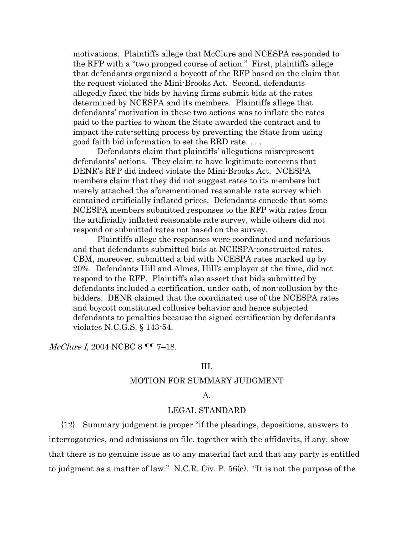motivations. Plaintiffs allege that McClure and NCESPA responded to the RFP with a "two pronged course of action." First, plaintiffs allege that defendants organized a boycott of the RFP based on the claim that the request violated the Mini-Brooks Act. Second, defendants allegedly fixed the bids by having firms submit bids at the rates determined by NCESPA and its members. Plaintiffs allege that defendants' motivation in these two actions was to inflate the rates paid to the parties to whom the State awarded the contract and to impact the rate-setting process by preventing the State from using good faith bid information to set the RRD rate. . . .

Defendants claim that plaintiffs' allegations misrepresent defendants' actions. They claim to have legitimate concerns that DENR's RFP did indeed violate the Mini-Brooks Act. NCESPA members claim that they did not suggest rates to its members but merely attached the aforementioned reasonable rate survey which contained artificially inflated prices. Defendants concede that some NCESPA members submitted responses to the RFP with rates from the artificially inflated reasonable rate survey, while others did not respond or submitted rates not based on the survey.

Plaintiffs allege the responses were coordinated and nefarious and that defendants submitted bids at NCESPA-constructed rates. CBM, moreover, submitted a bid with NCESPA rates marked up by 20%. Defendants Hill and Almes, Hill's employer at the time, did not respond to the RFP. Plaintiffs also assert that bids submitted by defendants included a certification, under oath, of non-collusion by the bidders. DENR claimed that the coordinated use of the NCESPA rates and boycott constituted collusive behavior and hence subjected defendants to penalties because the signed certification by defendants violates N.C.G.S. § 143-54.

#### McClure I, 2004 NCBC 8 ¶¶ 7–18.

#### III.

#### MOTION FOR SUMMARY JUDGMENT

#### A.

#### LEGAL STANDARD

{12} Summary judgment is proper "if the pleadings, depositions, answers to interrogatories, and admissions on file, together with the affidavits, if any, show that there is no genuine issue as to any material fact and that any party is entitled to judgment as a matter of law." N.C.R. Civ. P. 56(c). "It is not the purpose of the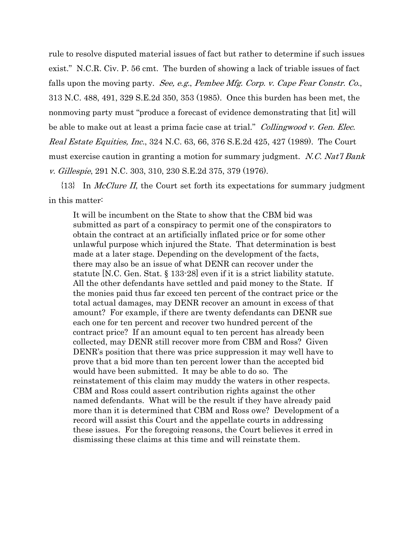rule to resolve disputed material issues of fact but rather to determine if such issues exist." N.C.R. Civ. P. 56 cmt. The burden of showing a lack of triable issues of fact falls upon the moving party. See, e.g., Pembee Mfg. Corp. v. Cape Fear Constr. Co., 313 N.C. 488, 491, 329 S.E.2d 350, 353 (1985). Once this burden has been met, the nonmoving party must "produce a forecast of evidence demonstrating that [it] will be able to make out at least a prima facie case at trial." *Collingwood v. Gen. Elec.* Real Estate Equities, Inc., 324 N.C. 63, 66, 376 S.E.2d 425, 427 (1989). The Court must exercise caution in granting a motion for summary judgment. N.C. Nat'l Bank v. Gillespie, 291 N.C. 303, 310, 230 S.E.2d 375, 379 (1976).

 ${13}$  In *McClure II*, the Court set forth its expectations for summary judgment in this matter:

It will be incumbent on the State to show that the CBM bid was submitted as part of a conspiracy to permit one of the conspirators to obtain the contract at an artificially inflated price or for some other unlawful purpose which injured the State. That determination is best made at a later stage. Depending on the development of the facts, there may also be an issue of what DENR can recover under the statute [N.C. Gen. Stat. § 133-28] even if it is a strict liability statute. All the other defendants have settled and paid money to the State. If the monies paid thus far exceed ten percent of the contract price or the total actual damages, may DENR recover an amount in excess of that amount? For example, if there are twenty defendants can DENR sue each one for ten percent and recover two hundred percent of the contract price? If an amount equal to ten percent has already been collected, may DENR still recover more from CBM and Ross? Given DENR's position that there was price suppression it may well have to prove that a bid more than ten percent lower than the accepted bid would have been submitted. It may be able to do so. The reinstatement of this claim may muddy the waters in other respects. CBM and Ross could assert contribution rights against the other named defendants. What will be the result if they have already paid more than it is determined that CBM and Ross owe? Development of a record will assist this Court and the appellate courts in addressing these issues. For the foregoing reasons, the Court believes it erred in dismissing these claims at this time and will reinstate them.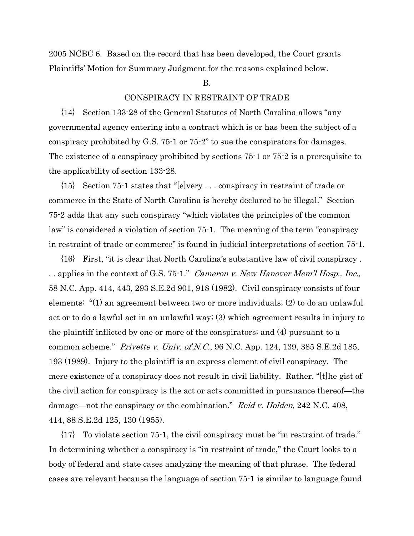2005 NCBC 6. Based on the record that has been developed, the Court grants Plaintiffs' Motion for Summary Judgment for the reasons explained below.

#### B.

#### CONSPIRACY IN RESTRAINT OF TRADE

{14} Section 133-28 of the General Statutes of North Carolina allows "any governmental agency entering into a contract which is or has been the subject of a conspiracy prohibited by G.S. 75-1 or 75-2" to sue the conspirators for damages. The existence of a conspiracy prohibited by sections 75-1 or 75-2 is a prerequisite to the applicability of section 133-28.

{15} Section 75-1 states that "[e]very . . . conspiracy in restraint of trade or commerce in the State of North Carolina is hereby declared to be illegal." Section 75-2 adds that any such conspiracy "which violates the principles of the common law" is considered a violation of section 75-1. The meaning of the term "conspiracy in restraint of trade or commerce" is found in judicial interpretations of section 75-1.

{16} First, "it is clear that North Carolina's substantive law of civil conspiracy . . applies in the context of G.S. 75-1." *Cameron v. New Hanover Mem'l Hosp., Inc.*, 58 N.C. App. 414, 443, 293 S.E.2d 901, 918 (1982). Civil conspiracy consists of four elements: "(1) an agreement between two or more individuals; (2) to do an unlawful act or to do a lawful act in an unlawful way; (3) which agreement results in injury to the plaintiff inflicted by one or more of the conspirators; and (4) pursuant to a common scheme." Privette v. Univ. of N.C., 96 N.C. App. 124, 139, 385 S.E.2d 185, 193 (1989). Injury to the plaintiff is an express element of civil conspiracy. The mere existence of a conspiracy does not result in civil liability. Rather, "[t]he gist of the civil action for conspiracy is the act or acts committed in pursuance thereof—the damage—not the conspiracy or the combination." Reid v. Holden, 242 N.C. 408, 414, 88 S.E.2d 125, 130 (1955).

{17} To violate section 75-1, the civil conspiracy must be "in restraint of trade." In determining whether a conspiracy is "in restraint of trade," the Court looks to a body of federal and state cases analyzing the meaning of that phrase. The federal cases are relevant because the language of section 75-1 is similar to language found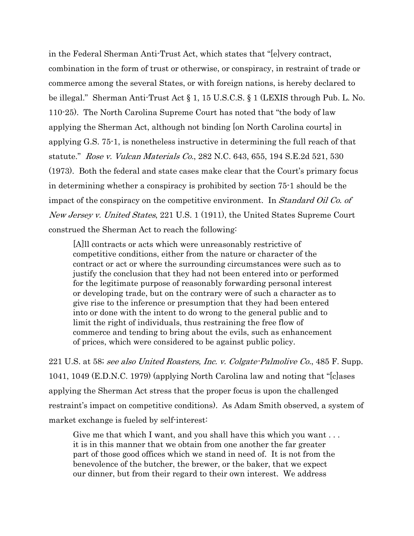in the Federal Sherman Anti-Trust Act, which states that "[e]very contract, combination in the form of trust or otherwise, or conspiracy, in restraint of trade or commerce among the several States, or with foreign nations, is hereby declared to be illegal." Sherman Anti-Trust Act § 1, 15 U.S.C.S. § 1 (LEXIS through Pub. L. No. 110-25). The North Carolina Supreme Court has noted that "the body of law applying the Sherman Act, although not binding [on North Carolina courts] in applying G.S. 75-1, is nonetheless instructive in determining the full reach of that statute." Rose v. Vulcan Materials Co., 282 N.C. 643, 655, 194 S.E.2d 521, 530 (1973). Both the federal and state cases make clear that the Court's primary focus in determining whether a conspiracy is prohibited by section 75-1 should be the impact of the conspiracy on the competitive environment. In *Standard Oil Co. of* New Jersey v. United States, 221 U.S. 1 (1911), the United States Supreme Court construed the Sherman Act to reach the following:

[A]ll contracts or acts which were unreasonably restrictive of competitive conditions, either from the nature or character of the contract or act or where the surrounding circumstances were such as to justify the conclusion that they had not been entered into or performed for the legitimate purpose of reasonably forwarding personal interest or developing trade, but on the contrary were of such a character as to give rise to the inference or presumption that they had been entered into or done with the intent to do wrong to the general public and to limit the right of individuals, thus restraining the free flow of commerce and tending to bring about the evils, such as enhancement of prices, which were considered to be against public policy.

221 U.S. at 58; see also United Roasters, Inc. v. Colgate-Palmolive Co., 485 F. Supp. 1041, 1049 (E.D.N.C. 1979) (applying North Carolina law and noting that "[c]ases applying the Sherman Act stress that the proper focus is upon the challenged restraint's impact on competitive conditions). As Adam Smith observed, a system of market exchange is fueled by self-interest:

Give me that which I want, and you shall have this which you want . . . it is in this manner that we obtain from one another the far greater part of those good offices which we stand in need of. It is not from the benevolence of the butcher, the brewer, or the baker, that we expect our dinner, but from their regard to their own interest. We address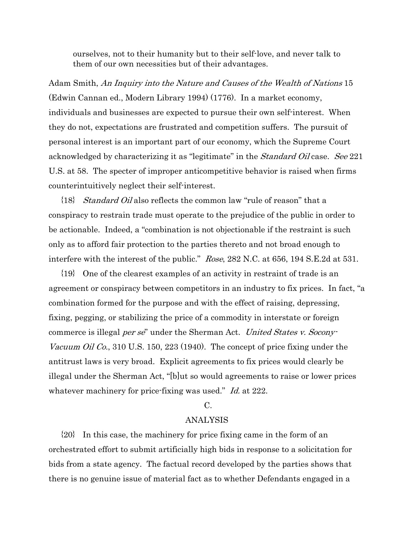ourselves, not to their humanity but to their self-love, and never talk to them of our own necessities but of their advantages.

Adam Smith, An Inquiry into the Nature and Causes of the Wealth of Nations 15 (Edwin Cannan ed., Modern Library 1994) (1776). In a market economy, individuals and businesses are expected to pursue their own self-interest. When they do not, expectations are frustrated and competition suffers. The pursuit of personal interest is an important part of our economy, which the Supreme Court acknowledged by characterizing it as "legitimate" in the *Standard Oil* case. See 221 U.S. at 58. The specter of improper anticompetitive behavior is raised when firms counterintuitively neglect their self-interest.

{18} Standard Oil also reflects the common law "rule of reason" that a conspiracy to restrain trade must operate to the prejudice of the public in order to be actionable. Indeed, a "combination is not objectionable if the restraint is such only as to afford fair protection to the parties thereto and not broad enough to interfere with the interest of the public." *Rose*, 282 N.C. at 656, 194 S.E.2d at 531.

{19} One of the clearest examples of an activity in restraint of trade is an agreement or conspiracy between competitors in an industry to fix prices. In fact, "a combination formed for the purpose and with the effect of raising, depressing, fixing, pegging, or stabilizing the price of a commodity in interstate or foreign commerce is illegal *per se*" under the Sherman Act. *United States v. Socony*-Vacuum Oil Co., 310 U.S. 150, 223 (1940). The concept of price fixing under the antitrust laws is very broad. Explicit agreements to fix prices would clearly be illegal under the Sherman Act, "[b]ut so would agreements to raise or lower prices whatever machinery for price-fixing was used." *Id.* at 222.

#### C.

## ANALYSIS

{20} In this case, the machinery for price fixing came in the form of an orchestrated effort to submit artificially high bids in response to a solicitation for bids from a state agency. The factual record developed by the parties shows that there is no genuine issue of material fact as to whether Defendants engaged in a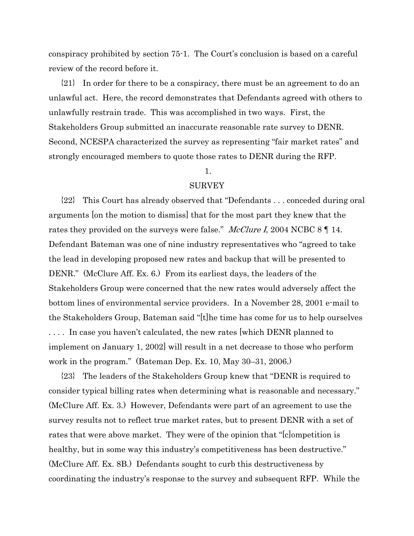conspiracy prohibited by section 75-1. The Court's conclusion is based on a careful review of the record before it.

{21} In order for there to be a conspiracy, there must be an agreement to do an unlawful act. Here, the record demonstrates that Defendants agreed with others to unlawfully restrain trade. This was accomplished in two ways. First, the Stakeholders Group submitted an inaccurate reasonable rate survey to DENR. Second, NCESPA characterized the survey as representing "fair market rates" and strongly encouraged members to quote those rates to DENR during the RFP.

# 1.

#### SURVEY

{22} This Court has already observed that "Defendants . . . conceded during oral arguments [on the motion to dismiss] that for the most part they knew that the rates they provided on the surveys were false." *McClure I*, 2004 NCBC 8  $\P$  14. Defendant Bateman was one of nine industry representatives who "agreed to take the lead in developing proposed new rates and backup that will be presented to DENR." (McClure Aff. Ex. 6.) From its earliest days, the leaders of the Stakeholders Group were concerned that the new rates would adversely affect the bottom lines of environmental service providers. In a November 28, 2001 e-mail to the Stakeholders Group, Bateman said "[t]he time has come for us to help ourselves . . . . In case you haven't calculated, the new rates [which DENR planned to implement on January 1, 2002] will result in a net decrease to those who perform work in the program." (Bateman Dep. Ex. 10, May 30–31, 2006.)

{23} The leaders of the Stakeholders Group knew that "DENR is required to consider typical billing rates when determining what is reasonable and necessary." (McClure Aff. Ex. 3.) However, Defendants were part of an agreement to use the survey results not to reflect true market rates, but to present DENR with a set of rates that were above market. They were of the opinion that "[c]ompetition is healthy, but in some way this industry's competitiveness has been destructive." (McClure Aff. Ex. 8B.) Defendants sought to curb this destructiveness by coordinating the industry's response to the survey and subsequent RFP. While the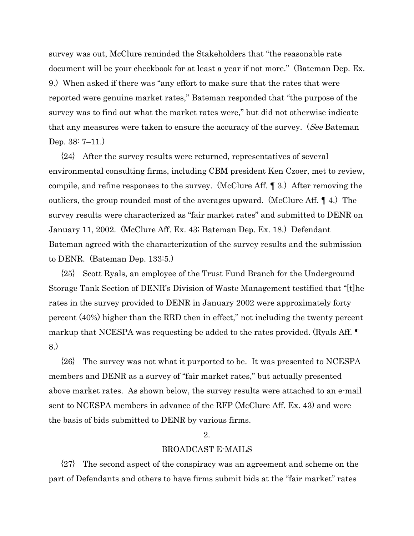survey was out, McClure reminded the Stakeholders that "the reasonable rate document will be your checkbook for at least a year if not more." (Bateman Dep. Ex. 9.) When asked if there was "any effort to make sure that the rates that were reported were genuine market rates," Bateman responded that "the purpose of the survey was to find out what the market rates were," but did not otherwise indicate that any measures were taken to ensure the accuracy of the survey. (See Bateman Dep. 38: 7–11.)

{24} After the survey results were returned, representatives of several environmental consulting firms, including CBM president Ken Czoer, met to review, compile, and refine responses to the survey. (McClure Aff. ¶ 3.) After removing the outliers, the group rounded most of the averages upward. (McClure Aff. ¶ 4.) The survey results were characterized as "fair market rates" and submitted to DENR on January 11, 2002. (McClure Aff. Ex. 43; Bateman Dep. Ex. 18.) Defendant Bateman agreed with the characterization of the survey results and the submission to DENR. (Bateman Dep. 133:5.)

{25} Scott Ryals, an employee of the Trust Fund Branch for the Underground Storage Tank Section of DENR's Division of Waste Management testified that "[t]he rates in the survey provided to DENR in January 2002 were approximately forty percent (40%) higher than the RRD then in effect," not including the twenty percent markup that NCESPA was requesting be added to the rates provided. (Ryals Aff.  $\P$ 8.)

{26} The survey was not what it purported to be. It was presented to NCESPA members and DENR as a survey of "fair market rates," but actually presented above market rates. As shown below, the survey results were attached to an e-mail sent to NCESPA members in advance of the RFP (McClure Aff. Ex. 43) and were the basis of bids submitted to DENR by various firms.

#### 2.

### BROADCAST E-MAILS

{27} The second aspect of the conspiracy was an agreement and scheme on the part of Defendants and others to have firms submit bids at the "fair market" rates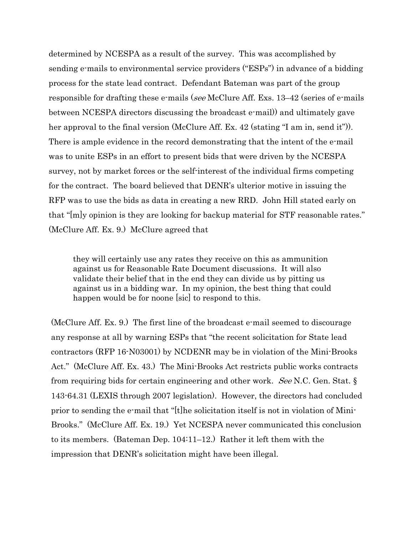determined by NCESPA as a result of the survey. This was accomplished by sending e-mails to environmental service providers ("ESPs") in advance of a bidding process for the state lead contract. Defendant Bateman was part of the group responsible for drafting these e-mails (see McClure Aff. Exs. 13–42 (series of e-mails between NCESPA directors discussing the broadcast e-mail)) and ultimately gave her approval to the final version (McClure Aff. Ex. 42 (stating "I am in, send it")). There is ample evidence in the record demonstrating that the intent of the e-mail was to unite ESPs in an effort to present bids that were driven by the NCESPA survey, not by market forces or the self-interest of the individual firms competing for the contract. The board believed that DENR's ulterior motive in issuing the RFP was to use the bids as data in creating a new RRD. John Hill stated early on that "[m]y opinion is they are looking for backup material for STF reasonable rates." (McClure Aff. Ex. 9.) McClure agreed that

they will certainly use any rates they receive on this as ammunition against us for Reasonable Rate Document discussions. It will also validate their belief that in the end they can divide us by pitting us against us in a bidding war. In my opinion, the best thing that could happen would be for noone [sic] to respond to this.

(McClure Aff. Ex. 9.) The first line of the broadcast e-mail seemed to discourage any response at all by warning ESPs that "the recent solicitation for State lead contractors (RFP 16-N03001) by NCDENR may be in violation of the Mini-Brooks Act." (McClure Aff. Ex. 43.) The Mini-Brooks Act restricts public works contracts from requiring bids for certain engineering and other work. See N.C. Gen. Stat. § 143-64.31 (LEXIS through 2007 legislation). However, the directors had concluded prior to sending the e-mail that "[t]he solicitation itself is not in violation of Mini-Brooks." (McClure Aff. Ex. 19.) Yet NCESPA never communicated this conclusion to its members. (Bateman Dep. 104:11–12.) Rather it left them with the impression that DENR's solicitation might have been illegal.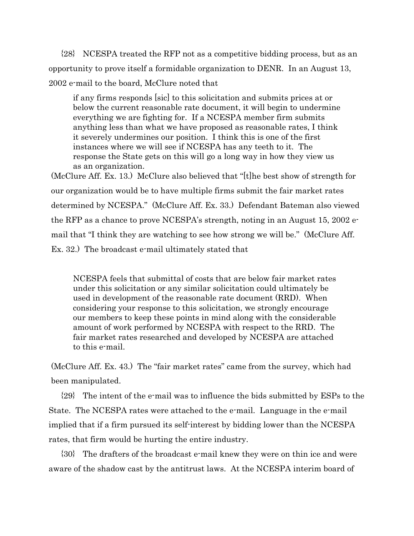{28} NCESPA treated the RFP not as a competitive bidding process, but as an opportunity to prove itself a formidable organization to DENR. In an August 13, 2002 e-mail to the board, McClure noted that

if any firms responds [sic] to this solicitation and submits prices at or below the current reasonable rate document, it will begin to undermine everything we are fighting for. If a NCESPA member firm submits anything less than what we have proposed as reasonable rates, I think it severely undermines our position. I think this is one of the first instances where we will see if NCESPA has any teeth to it. The response the State gets on this will go a long way in how they view us as an organization.

(McClure Aff. Ex. 13.) McClure also believed that "[t]he best show of strength for our organization would be to have multiple firms submit the fair market rates determined by NCESPA." (McClure Aff. Ex. 33.) Defendant Bateman also viewed the RFP as a chance to prove NCESPA's strength, noting in an August 15, 2002 email that "I think they are watching to see how strong we will be." (McClure Aff. Ex. 32.) The broadcast e-mail ultimately stated that

NCESPA feels that submittal of costs that are below fair market rates under this solicitation or any similar solicitation could ultimately be used in development of the reasonable rate document (RRD). When considering your response to this solicitation, we strongly encourage our members to keep these points in mind along with the considerable amount of work performed by NCESPA with respect to the RRD. The fair market rates researched and developed by NCESPA are attached to this e-mail.

(McClure Aff. Ex. 43.) The "fair market rates" came from the survey, which had been manipulated.

{29} The intent of the e-mail was to influence the bids submitted by ESPs to the State. The NCESPA rates were attached to the e-mail. Language in the e-mail implied that if a firm pursued its self-interest by bidding lower than the NCESPA rates, that firm would be hurting the entire industry.

{30} The drafters of the broadcast e-mail knew they were on thin ice and were aware of the shadow cast by the antitrust laws. At the NCESPA interim board of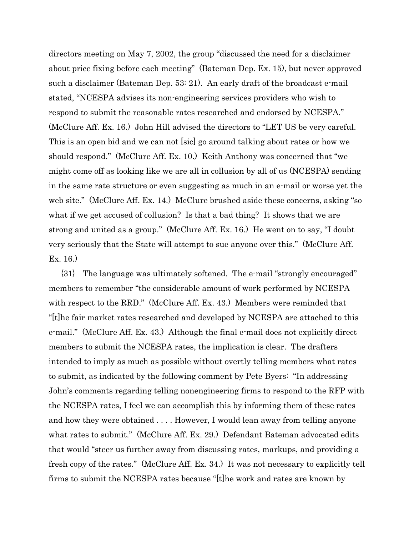directors meeting on May 7, 2002, the group "discussed the need for a disclaimer about price fixing before each meeting" (Bateman Dep. Ex. 15), but never approved such a disclaimer (Bateman Dep. 53: 21). An early draft of the broadcast e-mail stated, "NCESPA advises its non-engineering services providers who wish to respond to submit the reasonable rates researched and endorsed by NCESPA." (McClure Aff. Ex. 16.) John Hill advised the directors to "LET US be very careful. This is an open bid and we can not [sic] go around talking about rates or how we should respond." (McClure Aff. Ex. 10.) Keith Anthony was concerned that "we might come off as looking like we are all in collusion by all of us (NCESPA) sending in the same rate structure or even suggesting as much in an e-mail or worse yet the web site." (McClure Aff. Ex. 14.) McClure brushed aside these concerns, asking "so what if we get accused of collusion? Is that a bad thing? It shows that we are strong and united as a group." (McClure Aff. Ex. 16.) He went on to say, "I doubt very seriously that the State will attempt to sue anyone over this." (McClure Aff. Ex. 16.)

{31} The language was ultimately softened. The e-mail "strongly encouraged" members to remember "the considerable amount of work performed by NCESPA with respect to the RRD." (McClure Aff. Ex. 43.) Members were reminded that "[t]he fair market rates researched and developed by NCESPA are attached to this e-mail." (McClure Aff. Ex. 43.) Although the final e-mail does not explicitly direct members to submit the NCESPA rates, the implication is clear. The drafters intended to imply as much as possible without overtly telling members what rates to submit, as indicated by the following comment by Pete Byers: "In addressing John's comments regarding telling nonengineering firms to respond to the RFP with the NCESPA rates, I feel we can accomplish this by informing them of these rates and how they were obtained . . . . However, I would lean away from telling anyone what rates to submit." (McClure Aff. Ex. 29.) Defendant Bateman advocated edits that would "steer us further away from discussing rates, markups, and providing a fresh copy of the rates." (McClure Aff. Ex. 34.) It was not necessary to explicitly tell firms to submit the NCESPA rates because "[t]he work and rates are known by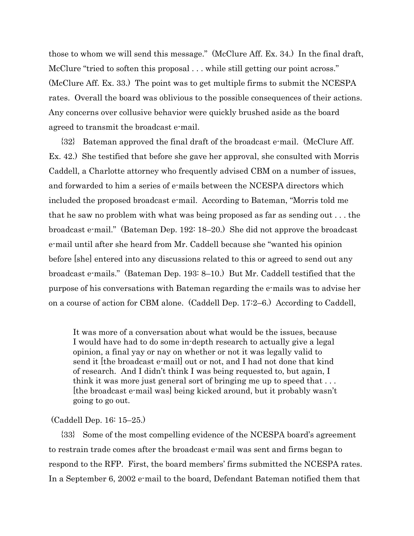those to whom we will send this message." (McClure Aff. Ex. 34.) In the final draft, McClure "tried to soften this proposal . . . while still getting our point across." (McClure Aff. Ex. 33.) The point was to get multiple firms to submit the NCESPA rates. Overall the board was oblivious to the possible consequences of their actions. Any concerns over collusive behavior were quickly brushed aside as the board agreed to transmit the broadcast e-mail.

{32} Bateman approved the final draft of the broadcast e-mail. (McClure Aff. Ex. 42.) She testified that before she gave her approval, she consulted with Morris Caddell, a Charlotte attorney who frequently advised CBM on a number of issues, and forwarded to him a series of e-mails between the NCESPA directors which included the proposed broadcast e-mail. According to Bateman, "Morris told me that he saw no problem with what was being proposed as far as sending out . . . the broadcast e-mail." (Bateman Dep. 192: 18–20.) She did not approve the broadcast e-mail until after she heard from Mr. Caddell because she "wanted his opinion before [she] entered into any discussions related to this or agreed to send out any broadcast e-mails." (Bateman Dep. 193: 8–10.) But Mr. Caddell testified that the purpose of his conversations with Bateman regarding the e-mails was to advise her on a course of action for CBM alone. (Caddell Dep. 17:2–6.) According to Caddell,

It was more of a conversation about what would be the issues, because I would have had to do some in-depth research to actually give a legal opinion, a final yay or nay on whether or not it was legally valid to send it [the broadcast e-mail] out or not, and I had not done that kind of research. And I didn't think I was being requested to, but again, I think it was more just general sort of bringing me up to speed that . . . [the broadcast e-mail was] being kicked around, but it probably wasn't going to go out.

#### (Caddell Dep. 16: 15–25.)

{33} Some of the most compelling evidence of the NCESPA board's agreement to restrain trade comes after the broadcast e-mail was sent and firms began to respond to the RFP. First, the board members' firms submitted the NCESPA rates. In a September 6, 2002 e-mail to the board, Defendant Bateman notified them that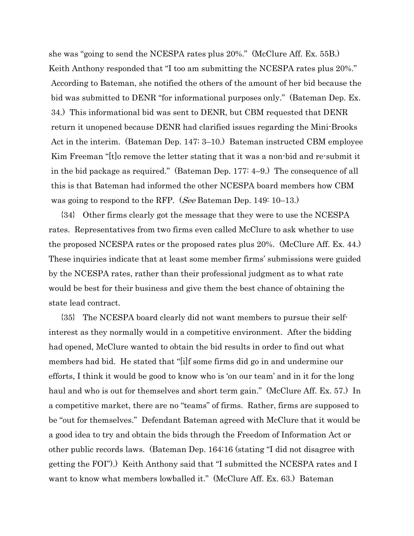she was "going to send the NCESPA rates plus 20%." (McClure Aff. Ex. 55B.) Keith Anthony responded that "I too am submitting the NCESPA rates plus 20%." According to Bateman, she notified the others of the amount of her bid because the bid was submitted to DENR "for informational purposes only." (Bateman Dep. Ex. 34.) This informational bid was sent to DENR, but CBM requested that DENR return it unopened because DENR had clarified issues regarding the Mini-Brooks Act in the interim. (Bateman Dep. 147: 3–10.) Bateman instructed CBM employee Kim Freeman "[t]o remove the letter stating that it was a non-bid and re-submit it in the bid package as required." (Bateman Dep. 177: 4–9.) The consequence of all this is that Bateman had informed the other NCESPA board members how CBM was going to respond to the RFP. (See Bateman Dep. 149: 10–13.)

{34} Other firms clearly got the message that they were to use the NCESPA rates. Representatives from two firms even called McClure to ask whether to use the proposed NCESPA rates or the proposed rates plus 20%. (McClure Aff. Ex. 44.) These inquiries indicate that at least some member firms' submissions were guided by the NCESPA rates, rather than their professional judgment as to what rate would be best for their business and give them the best chance of obtaining the state lead contract.

{35} The NCESPA board clearly did not want members to pursue their selfinterest as they normally would in a competitive environment. After the bidding had opened, McClure wanted to obtain the bid results in order to find out what members had bid. He stated that "[i]f some firms did go in and undermine our efforts, I think it would be good to know who is 'on our team' and in it for the long haul and who is out for themselves and short term gain." (McClure Aff. Ex. 57.) In a competitive market, there are no "teams" of firms. Rather, firms are supposed to be "out for themselves." Defendant Bateman agreed with McClure that it would be a good idea to try and obtain the bids through the Freedom of Information Act or other public records laws. (Bateman Dep. 164:16 (stating "I did not disagree with getting the FOI").) Keith Anthony said that "I submitted the NCESPA rates and I want to know what members lowballed it." (McClure Aff. Ex. 63.) Bateman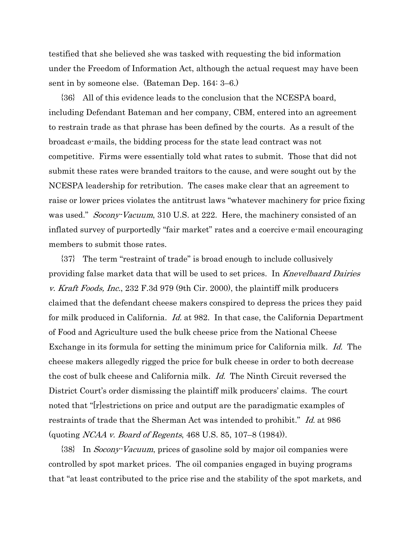testified that she believed she was tasked with requesting the bid information under the Freedom of Information Act, although the actual request may have been sent in by someone else. (Bateman Dep. 164: 3–6.)

{36} All of this evidence leads to the conclusion that the NCESPA board, including Defendant Bateman and her company, CBM, entered into an agreement to restrain trade as that phrase has been defined by the courts. As a result of the broadcast e-mails, the bidding process for the state lead contract was not competitive. Firms were essentially told what rates to submit. Those that did not submit these rates were branded traitors to the cause, and were sought out by the NCESPA leadership for retribution. The cases make clear that an agreement to raise or lower prices violates the antitrust laws "whatever machinery for price fixing was used." *Socony-Vacuum*, 310 U.S. at 222. Here, the machinery consisted of an inflated survey of purportedly "fair market" rates and a coercive e-mail encouraging members to submit those rates.

{37} The term "restraint of trade" is broad enough to include collusively providing false market data that will be used to set prices. In *Knevelbaard Dairies* v. Kraft Foods, Inc., 232 F.3d 979 (9th Cir. 2000), the plaintiff milk producers claimed that the defendant cheese makers conspired to depress the prices they paid for milk produced in California. *Id.* at 982. In that case, the California Department of Food and Agriculture used the bulk cheese price from the National Cheese Exchange in its formula for setting the minimum price for California milk. Id. The cheese makers allegedly rigged the price for bulk cheese in order to both decrease the cost of bulk cheese and California milk. Id. The Ninth Circuit reversed the District Court's order dismissing the plaintiff milk producers' claims. The court noted that "[r]estrictions on price and output are the paradigmatic examples of restraints of trade that the Sherman Act was intended to prohibit." Id. at 986 (quoting NCAA v. Board of Regents, 468 U.S. 85, 107–8 (1984)).

{38} In Socony-Vacuum, prices of gasoline sold by major oil companies were controlled by spot market prices. The oil companies engaged in buying programs that "at least contributed to the price rise and the stability of the spot markets, and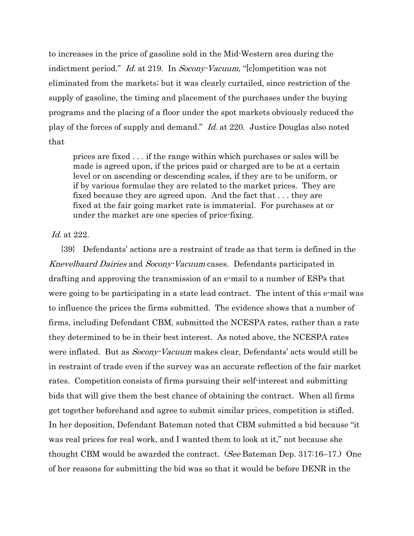to increases in the price of gasoline sold in the Mid-Western area during the indictment period." *Id.* at 219. In *Socony-Vacuum*, "[c]ompetition was not eliminated from the markets; but it was clearly curtailed, since restriction of the supply of gasoline, the timing and placement of the purchases under the buying programs and the placing of a floor under the spot markets obviously reduced the play of the forces of supply and demand." Id. at 220. Justice Douglas also noted that

prices are fixed . . . if the range within which purchases or sales will be made is agreed upon, if the prices paid or charged are to be at a certain level or on ascending or descending scales, if they are to be uniform, or if by various formulae they are related to the market prices. They are fixed because they are agreed upon. And the fact that . . . they are fixed at the fair going market rate is immaterial. For purchases at or under the market are one species of price-fixing.

# Id. at 222.

{39} Defendants' actions are a restraint of trade as that term is defined in the Knevelbaard Dairies and Socony-Vacuum cases. Defendants participated in drafting and approving the transmission of an e-mail to a number of ESPs that were going to be participating in a state lead contract. The intent of this e-mail was to influence the prices the firms submitted. The evidence shows that a number of firms, including Defendant CBM, submitted the NCESPA rates, rather than a rate they determined to be in their best interest. As noted above, the NCESPA rates were inflated. But as *Socony-Vacuum* makes clear, Defendants' acts would still be in restraint of trade even if the survey was an accurate reflection of the fair market rates. Competition consists of firms pursuing their self-interest and submitting bids that will give them the best chance of obtaining the contract. When all firms get together beforehand and agree to submit similar prices, competition is stifled. In her deposition, Defendant Bateman noted that CBM submitted a bid because "it was real prices for real work, and I wanted them to look at it," not because she thought CBM would be awarded the contract. (See Bateman Dep. 317:16–17.) One of her reasons for submitting the bid was so that it would be before DENR in the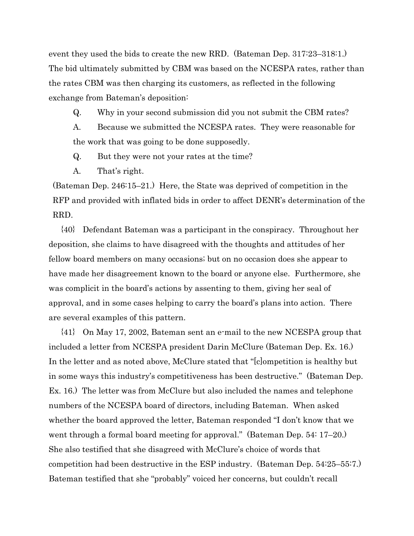event they used the bids to create the new RRD. (Bateman Dep. 317:23–318:1.) The bid ultimately submitted by CBM was based on the NCESPA rates, rather than the rates CBM was then charging its customers, as reflected in the following exchange from Bateman's deposition:

Q. Why in your second submission did you not submit the CBM rates?

A. Because we submitted the NCESPA rates. They were reasonable for the work that was going to be done supposedly.

Q. But they were not your rates at the time?

A. That's right.

(Bateman Dep. 246:15–21.) Here, the State was deprived of competition in the RFP and provided with inflated bids in order to affect DENR's determination of the RRD.

{40} Defendant Bateman was a participant in the conspiracy. Throughout her deposition, she claims to have disagreed with the thoughts and attitudes of her fellow board members on many occasions; but on no occasion does she appear to have made her disagreement known to the board or anyone else. Furthermore, she was complicit in the board's actions by assenting to them, giving her seal of approval, and in some cases helping to carry the board's plans into action. There are several examples of this pattern.

{41} On May 17, 2002, Bateman sent an e-mail to the new NCESPA group that included a letter from NCESPA president Darin McClure (Bateman Dep. Ex. 16.) In the letter and as noted above, McClure stated that "[c]ompetition is healthy but in some ways this industry's competitiveness has been destructive." (Bateman Dep. Ex. 16.) The letter was from McClure but also included the names and telephone numbers of the NCESPA board of directors, including Bateman. When asked whether the board approved the letter, Bateman responded "I don't know that we went through a formal board meeting for approval." (Bateman Dep. 54: 17–20.) She also testified that she disagreed with McClure's choice of words that competition had been destructive in the ESP industry. (Bateman Dep. 54:25–55:7.) Bateman testified that she "probably" voiced her concerns, but couldn't recall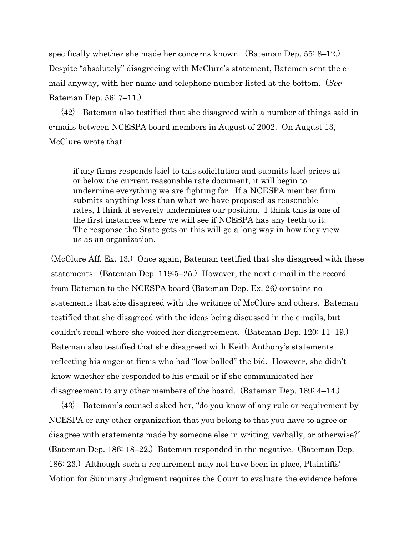specifically whether she made her concerns known. (Bateman Dep. 55: 8–12.) Despite "absolutely" disagreeing with McClure's statement, Batemen sent the email anyway, with her name and telephone number listed at the bottom. (See Bateman Dep. 56: 7–11.)

{42} Bateman also testified that she disagreed with a number of things said in e-mails between NCESPA board members in August of 2002. On August 13, McClure wrote that

if any firms responds [sic] to this solicitation and submits [sic] prices at or below the current reasonable rate document, it will begin to undermine everything we are fighting for. If a NCESPA member firm submits anything less than what we have proposed as reasonable rates, I think it severely undermines our position. I think this is one of the first instances where we will see if NCESPA has any teeth to it. The response the State gets on this will go a long way in how they view us as an organization.

(McClure Aff. Ex. 13.) Once again, Bateman testified that she disagreed with these statements. (Bateman Dep. 119:5–25.) However, the next e-mail in the record from Bateman to the NCESPA board (Bateman Dep. Ex. 26) contains no statements that she disagreed with the writings of McClure and others. Bateman testified that she disagreed with the ideas being discussed in the e-mails, but couldn't recall where she voiced her disagreement. (Bateman Dep. 120: 11–19.) Bateman also testified that she disagreed with Keith Anthony's statements reflecting his anger at firms who had "low-balled" the bid. However, she didn't know whether she responded to his e-mail or if she communicated her disagreement to any other members of the board. (Bateman Dep. 169: 4–14.)

{43} Bateman's counsel asked her, "do you know of any rule or requirement by NCESPA or any other organization that you belong to that you have to agree or disagree with statements made by someone else in writing, verbally, or otherwise?" (Bateman Dep. 186: 18–22.) Bateman responded in the negative. (Bateman Dep. 186: 23.) Although such a requirement may not have been in place, Plaintiffs' Motion for Summary Judgment requires the Court to evaluate the evidence before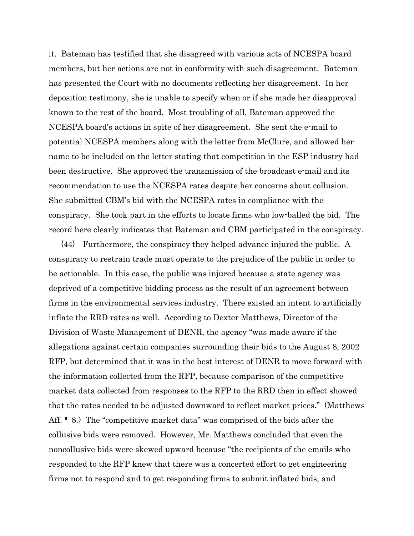it. Bateman has testified that she disagreed with various acts of NCESPA board members, but her actions are not in conformity with such disagreement. Bateman has presented the Court with no documents reflecting her disagreement. In her deposition testimony, she is unable to specify when or if she made her disapproval known to the rest of the board. Most troubling of all, Bateman approved the NCESPA board's actions in spite of her disagreement. She sent the e-mail to potential NCESPA members along with the letter from McClure, and allowed her name to be included on the letter stating that competition in the ESP industry had been destructive. She approved the transmission of the broadcast e-mail and its recommendation to use the NCESPA rates despite her concerns about collusion. She submitted CBM's bid with the NCESPA rates in compliance with the conspiracy. She took part in the efforts to locate firms who low-balled the bid. The record here clearly indicates that Bateman and CBM participated in the conspiracy.

{44} Furthermore, the conspiracy they helped advance injured the public. A conspiracy to restrain trade must operate to the prejudice of the public in order to be actionable. In this case, the public was injured because a state agency was deprived of a competitive bidding process as the result of an agreement between firms in the environmental services industry. There existed an intent to artificially inflate the RRD rates as well. According to Dexter Matthews, Director of the Division of Waste Management of DENR, the agency "was made aware if the allegations against certain companies surrounding their bids to the August 8, 2002 RFP, but determined that it was in the best interest of DENR to move forward with the information collected from the RFP, because comparison of the competitive market data collected from responses to the RFP to the RRD then in effect showed that the rates needed to be adjusted downward to reflect market prices." (Matthews Aff. ¶ 8.) The "competitive market data" was comprised of the bids after the collusive bids were removed. However, Mr. Matthews concluded that even the noncollusive bids were skewed upward because "the recipients of the emails who responded to the RFP knew that there was a concerted effort to get engineering firms not to respond and to get responding firms to submit inflated bids, and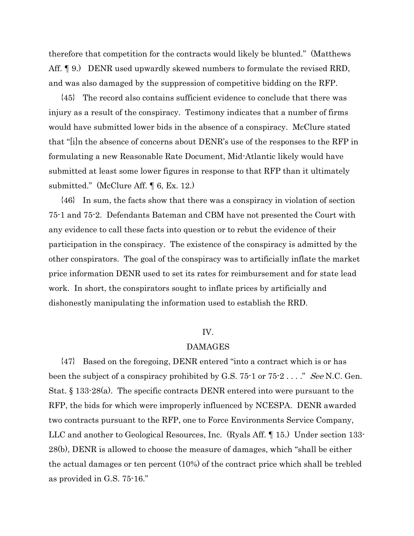therefore that competition for the contracts would likely be blunted." (Matthews Aff. <sup>¶</sup> 9.) DENR used upwardly skewed numbers to formulate the revised RRD, and was also damaged by the suppression of competitive bidding on the RFP.

{45} The record also contains sufficient evidence to conclude that there was injury as a result of the conspiracy. Testimony indicates that a number of firms would have submitted lower bids in the absence of a conspiracy. McClure stated that "[i]n the absence of concerns about DENR's use of the responses to the RFP in formulating a new Reasonable Rate Document, Mid-Atlantic likely would have submitted at least some lower figures in response to that RFP than it ultimately submitted." (McClure Aff. ¶ 6, Ex. 12.)

{46} In sum, the facts show that there was a conspiracy in violation of section 75-1 and 75-2. Defendants Bateman and CBM have not presented the Court with any evidence to call these facts into question or to rebut the evidence of their participation in the conspiracy. The existence of the conspiracy is admitted by the other conspirators. The goal of the conspiracy was to artificially inflate the market price information DENR used to set its rates for reimbursement and for state lead work. In short, the conspirators sought to inflate prices by artificially and dishonestly manipulating the information used to establish the RRD.

#### IV.

#### DAMAGES

{47} Based on the foregoing, DENR entered "into a contract which is or has been the subject of a conspiracy prohibited by G.S.  $75$ -1 or  $75$ -2 . . . ." See N.C. Gen. Stat. § 133-28(a). The specific contracts DENR entered into were pursuant to the RFP, the bids for which were improperly influenced by NCESPA. DENR awarded two contracts pursuant to the RFP, one to Force Environments Service Company, LLC and another to Geological Resources, Inc. (Ryals Aff. ¶ 15.) Under section 133- 28(b), DENR is allowed to choose the measure of damages, which "shall be either the actual damages or ten percent (10%) of the contract price which shall be trebled as provided in G.S. 75-16."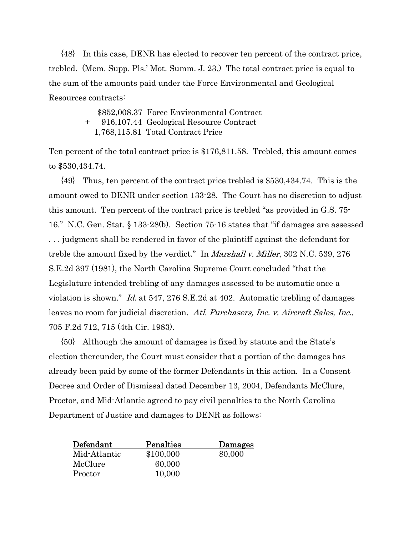{48} In this case, DENR has elected to recover ten percent of the contract price, trebled. (Mem. Supp. Pls.' Mot. Summ. J. 23.) The total contract price is equal to the sum of the amounts paid under the Force Environmental and Geological Resources contracts:

> \$852,008.37 Force Environmental Contract + 916,107.44 Geological Resource Contract 1,768,115.81 Total Contract Price

Ten percent of the total contract price is \$176,811.58. Trebled, this amount comes to \$530,434.74.

{49} Thus, ten percent of the contract price trebled is \$530,434.74. This is the amount owed to DENR under section 133-28. The Court has no discretion to adjust this amount. Ten percent of the contract price is trebled "as provided in G.S. 75- 16." N.C. Gen. Stat. § 133-28(b). Section 75-16 states that "if damages are assessed . . . judgment shall be rendered in favor of the plaintiff against the defendant for treble the amount fixed by the verdict." In *Marshall v. Miller*, 302 N.C. 539, 276 S.E.2d 397 (1981), the North Carolina Supreme Court concluded "that the Legislature intended trebling of any damages assessed to be automatic once a violation is shown." Id. at 547, 276 S.E.2d at 402. Automatic trebling of damages leaves no room for judicial discretion. Atl. Purchasers, Inc. v. Aircraft Sales, Inc., 705 F.2d 712, 715 (4th Cir. 1983).

{50} Although the amount of damages is fixed by statute and the State's election thereunder, the Court must consider that a portion of the damages has already been paid by some of the former Defendants in this action. In a Consent Decree and Order of Dismissal dated December 13, 2004, Defendants McClure, Proctor, and Mid-Atlantic agreed to pay civil penalties to the North Carolina Department of Justice and damages to DENR as follows:

| Defendant    | Penalties | Damages |
|--------------|-----------|---------|
| Mid-Atlantic | \$100,000 | 80,000  |
| McClure      | 60,000    |         |
| Proctor      | 10,000    |         |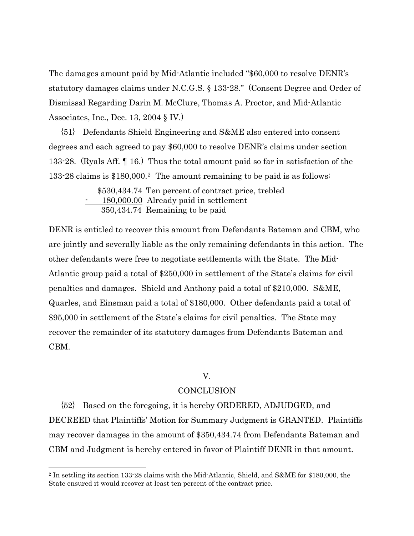The damages amount paid by Mid-Atlantic included "\$60,000 to resolve DENR's statutory damages claims under N.C.G.S. § 133-28." (Consent Degree and Order of Dismissal Regarding Darin M. McClure, Thomas A. Proctor, and Mid-Atlantic Associates, Inc., Dec. 13, 2004 § IV.)

{51} Defendants Shield Engineering and S&ME also entered into consent degrees and each agreed to pay \$60,000 to resolve DENR's claims under section 133-28. (Ryals Aff. ¶ 16.) Thus the total amount paid so far in satisfaction of the 133-28 claims is \$180,000.[2](#page-25-0) The amount remaining to be paid is as follows:

> \$530,434.74 Ten percent of contract price, trebled 180,000.00 Already paid in settlement 350,434.74 Remaining to be paid

DENR is entitled to recover this amount from Defendants Bateman and CBM, who are jointly and severally liable as the only remaining defendants in this action. The other defendants were free to negotiate settlements with the State. The Mid-Atlantic group paid a total of \$250,000 in settlement of the State's claims for civil penalties and damages. Shield and Anthony paid a total of \$210,000. S&ME, Quarles, and Einsman paid a total of \$180,000. Other defendants paid a total of \$95,000 in settlement of the State's claims for civil penalties. The State may recover the remainder of its statutory damages from Defendants Bateman and CBM.

# V.

# **CONCLUSION**

{52} Based on the foregoing, it is hereby ORDERED, ADJUDGED, and DECREED that Plaintiffs' Motion for Summary Judgment is GRANTED. Plaintiffs may recover damages in the amount of \$350,434.74 from Defendants Bateman and CBM and Judgment is hereby entered in favor of Plaintiff DENR in that amount.

 $\overline{a}$ 

<span id="page-25-0"></span><sup>2</sup> In settling its section 133-28 claims with the Mid-Atlantic, Shield, and S&ME for \$180,000, the State ensured it would recover at least ten percent of the contract price.